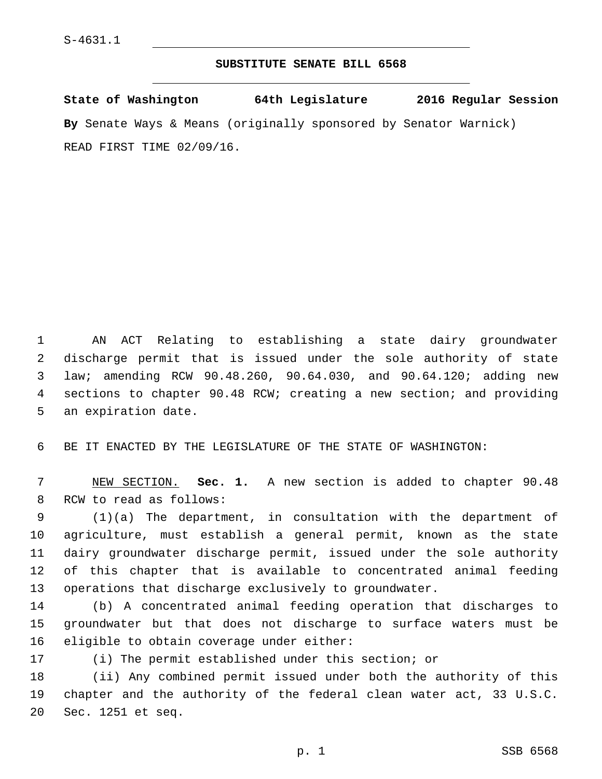## **SUBSTITUTE SENATE BILL 6568**

**State of Washington 64th Legislature 2016 Regular Session By** Senate Ways & Means (originally sponsored by Senator Warnick) READ FIRST TIME 02/09/16.

 AN ACT Relating to establishing a state dairy groundwater discharge permit that is issued under the sole authority of state law; amending RCW 90.48.260, 90.64.030, and 90.64.120; adding new sections to chapter 90.48 RCW; creating a new section; and providing 5 an expiration date.

BE IT ENACTED BY THE LEGISLATURE OF THE STATE OF WASHINGTON:

 NEW SECTION. **Sec. 1.** A new section is added to chapter 90.48 8 RCW to read as follows:

 (1)(a) The department, in consultation with the department of agriculture, must establish a general permit, known as the state dairy groundwater discharge permit, issued under the sole authority of this chapter that is available to concentrated animal feeding operations that discharge exclusively to groundwater.

 (b) A concentrated animal feeding operation that discharges to groundwater but that does not discharge to surface waters must be 16 eligible to obtain coverage under either:

(i) The permit established under this section; or

 (ii) Any combined permit issued under both the authority of this chapter and the authority of the federal clean water act, 33 U.S.C. 20 Sec. 1251 et seq.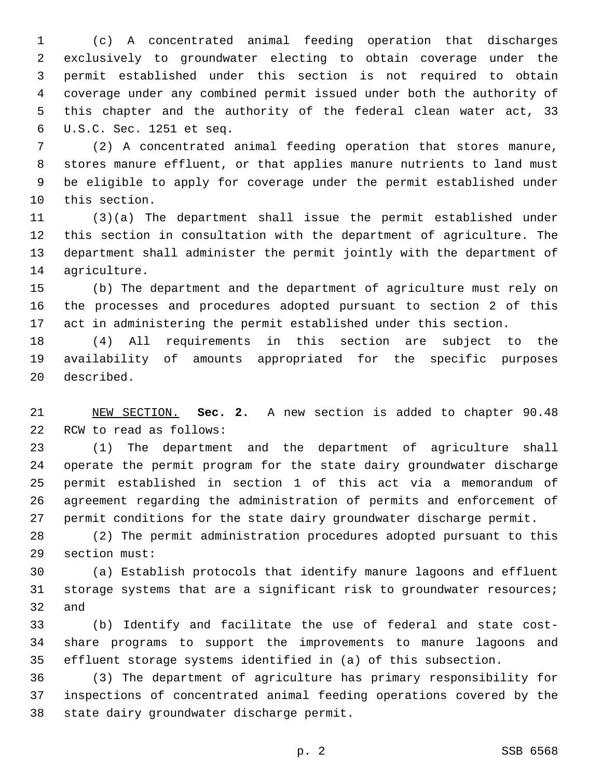(c) A concentrated animal feeding operation that discharges exclusively to groundwater electing to obtain coverage under the permit established under this section is not required to obtain coverage under any combined permit issued under both the authority of this chapter and the authority of the federal clean water act, 33 U.S.C. Sec. 1251 et seq.6

 (2) A concentrated animal feeding operation that stores manure, stores manure effluent, or that applies manure nutrients to land must be eligible to apply for coverage under the permit established under 10 this section.

 (3)(a) The department shall issue the permit established under this section in consultation with the department of agriculture. The department shall administer the permit jointly with the department of 14 agriculture.

 (b) The department and the department of agriculture must rely on the processes and procedures adopted pursuant to section 2 of this act in administering the permit established under this section.

 (4) All requirements in this section are subject to the availability of amounts appropriated for the specific purposes 20 described.

 NEW SECTION. **Sec. 2.** A new section is added to chapter 90.48 22 RCW to read as follows:

 (1) The department and the department of agriculture shall operate the permit program for the state dairy groundwater discharge permit established in section 1 of this act via a memorandum of agreement regarding the administration of permits and enforcement of permit conditions for the state dairy groundwater discharge permit.

 (2) The permit administration procedures adopted pursuant to this 29 section must:

 (a) Establish protocols that identify manure lagoons and effluent storage systems that are a significant risk to groundwater resources; and

 (b) Identify and facilitate the use of federal and state cost- share programs to support the improvements to manure lagoons and effluent storage systems identified in (a) of this subsection.

 (3) The department of agriculture has primary responsibility for inspections of concentrated animal feeding operations covered by the 38 state dairy groundwater discharge permit.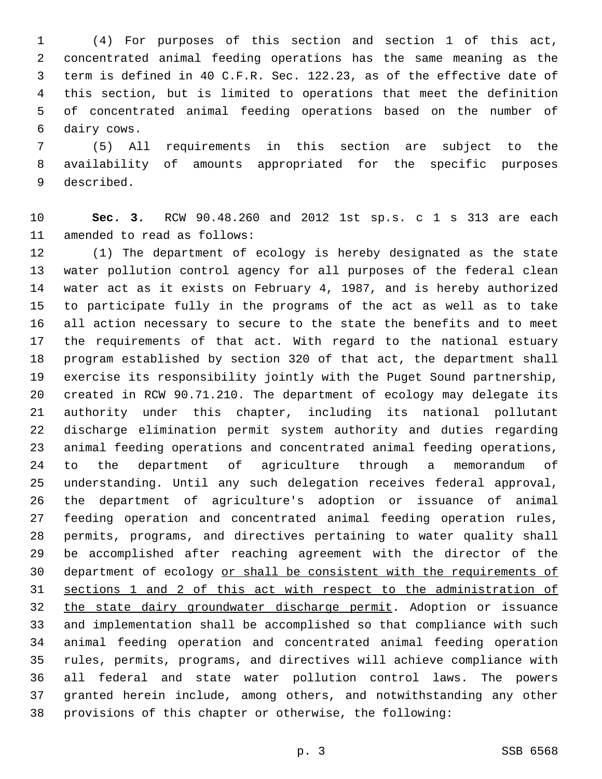(4) For purposes of this section and section 1 of this act, concentrated animal feeding operations has the same meaning as the term is defined in 40 C.F.R. Sec. 122.23, as of the effective date of this section, but is limited to operations that meet the definition of concentrated animal feeding operations based on the number of 6 dairy cows.

 (5) All requirements in this section are subject to the availability of amounts appropriated for the specific purposes 9 described.

 **Sec. 3.** RCW 90.48.260 and 2012 1st sp.s. c 1 s 313 are each 11 amended to read as follows:

 (1) The department of ecology is hereby designated as the state water pollution control agency for all purposes of the federal clean water act as it exists on February 4, 1987, and is hereby authorized to participate fully in the programs of the act as well as to take all action necessary to secure to the state the benefits and to meet the requirements of that act. With regard to the national estuary program established by section 320 of that act, the department shall exercise its responsibility jointly with the Puget Sound partnership, created in RCW 90.71.210. The department of ecology may delegate its authority under this chapter, including its national pollutant discharge elimination permit system authority and duties regarding animal feeding operations and concentrated animal feeding operations, to the department of agriculture through a memorandum of understanding. Until any such delegation receives federal approval, the department of agriculture's adoption or issuance of animal feeding operation and concentrated animal feeding operation rules, permits, programs, and directives pertaining to water quality shall be accomplished after reaching agreement with the director of the department of ecology or shall be consistent with the requirements of sections 1 and 2 of this act with respect to the administration of the state dairy groundwater discharge permit. Adoption or issuance and implementation shall be accomplished so that compliance with such animal feeding operation and concentrated animal feeding operation rules, permits, programs, and directives will achieve compliance with all federal and state water pollution control laws. The powers granted herein include, among others, and notwithstanding any other provisions of this chapter or otherwise, the following: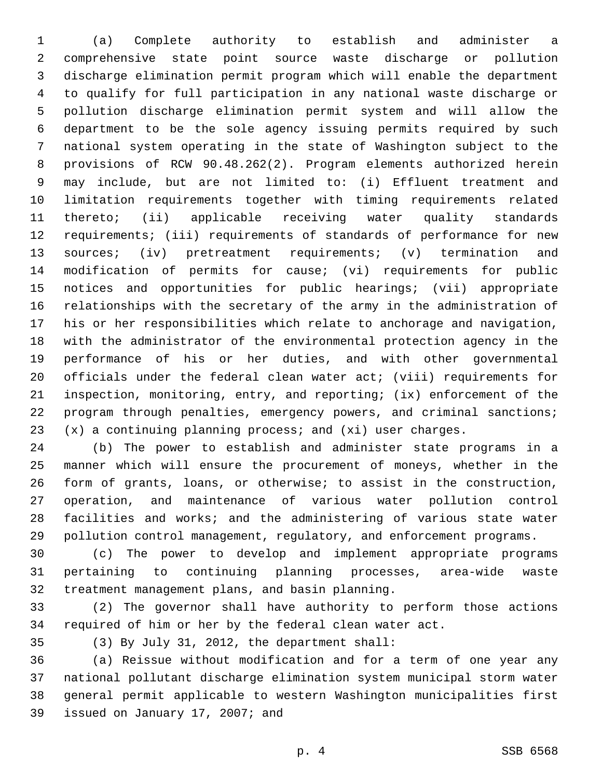(a) Complete authority to establish and administer a comprehensive state point source waste discharge or pollution discharge elimination permit program which will enable the department to qualify for full participation in any national waste discharge or pollution discharge elimination permit system and will allow the department to be the sole agency issuing permits required by such national system operating in the state of Washington subject to the provisions of RCW 90.48.262(2). Program elements authorized herein may include, but are not limited to: (i) Effluent treatment and limitation requirements together with timing requirements related thereto; (ii) applicable receiving water quality standards requirements; (iii) requirements of standards of performance for new sources; (iv) pretreatment requirements; (v) termination and modification of permits for cause; (vi) requirements for public notices and opportunities for public hearings; (vii) appropriate relationships with the secretary of the army in the administration of his or her responsibilities which relate to anchorage and navigation, with the administrator of the environmental protection agency in the performance of his or her duties, and with other governmental officials under the federal clean water act; (viii) requirements for inspection, monitoring, entry, and reporting; (ix) enforcement of the program through penalties, emergency powers, and criminal sanctions; (x) a continuing planning process; and (xi) user charges.

 (b) The power to establish and administer state programs in a manner which will ensure the procurement of moneys, whether in the form of grants, loans, or otherwise; to assist in the construction, operation, and maintenance of various water pollution control facilities and works; and the administering of various state water pollution control management, regulatory, and enforcement programs.

 (c) The power to develop and implement appropriate programs pertaining to continuing planning processes, area-wide waste 32 treatment management plans, and basin planning.

 (2) The governor shall have authority to perform those actions required of him or her by the federal clean water act.

(3) By July 31, 2012, the department shall:35

 (a) Reissue without modification and for a term of one year any national pollutant discharge elimination system municipal storm water general permit applicable to western Washington municipalities first 39 issued on January 17, 2007; and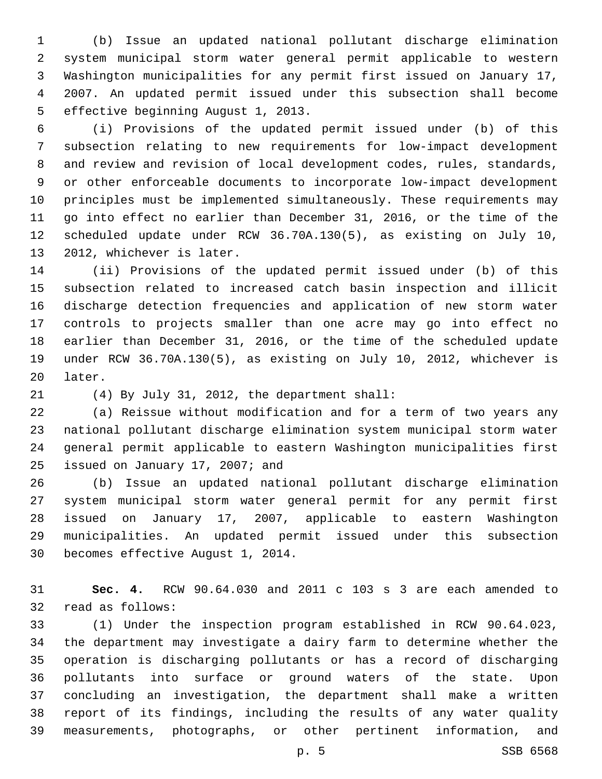(b) Issue an updated national pollutant discharge elimination system municipal storm water general permit applicable to western Washington municipalities for any permit first issued on January 17, 2007. An updated permit issued under this subsection shall become 5 effective beginning August 1, 2013.

 (i) Provisions of the updated permit issued under (b) of this subsection relating to new requirements for low-impact development and review and revision of local development codes, rules, standards, or other enforceable documents to incorporate low-impact development principles must be implemented simultaneously. These requirements may go into effect no earlier than December 31, 2016, or the time of the scheduled update under RCW 36.70A.130(5), as existing on July 10, 13 2012, whichever is later.

 (ii) Provisions of the updated permit issued under (b) of this subsection related to increased catch basin inspection and illicit discharge detection frequencies and application of new storm water controls to projects smaller than one acre may go into effect no earlier than December 31, 2016, or the time of the scheduled update under RCW 36.70A.130(5), as existing on July 10, 2012, whichever is 20 later.

(4) By July 31, 2012, the department shall:21

 (a) Reissue without modification and for a term of two years any national pollutant discharge elimination system municipal storm water general permit applicable to eastern Washington municipalities first 25 issued on January 17, 2007; and

 (b) Issue an updated national pollutant discharge elimination system municipal storm water general permit for any permit first issued on January 17, 2007, applicable to eastern Washington municipalities. An updated permit issued under this subsection 30 becomes effective August 1, 2014.

 **Sec. 4.** RCW 90.64.030 and 2011 c 103 s 3 are each amended to 32 read as follows:

 (1) Under the inspection program established in RCW 90.64.023, the department may investigate a dairy farm to determine whether the operation is discharging pollutants or has a record of discharging pollutants into surface or ground waters of the state. Upon concluding an investigation, the department shall make a written report of its findings, including the results of any water quality measurements, photographs, or other pertinent information, and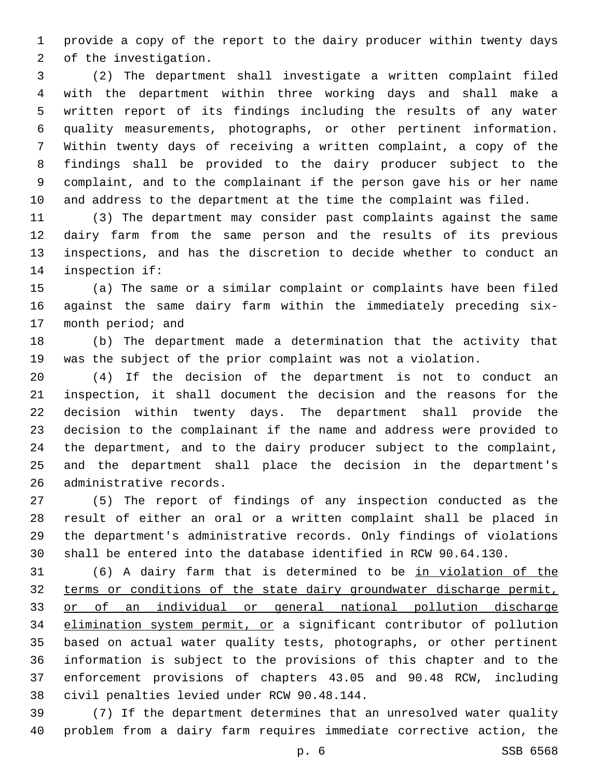provide a copy of the report to the dairy producer within twenty days 2 of the investigation.

 (2) The department shall investigate a written complaint filed with the department within three working days and shall make a written report of its findings including the results of any water quality measurements, photographs, or other pertinent information. Within twenty days of receiving a written complaint, a copy of the findings shall be provided to the dairy producer subject to the complaint, and to the complainant if the person gave his or her name and address to the department at the time the complaint was filed.

 (3) The department may consider past complaints against the same dairy farm from the same person and the results of its previous inspections, and has the discretion to decide whether to conduct an 14 inspection if:

 (a) The same or a similar complaint or complaints have been filed against the same dairy farm within the immediately preceding six-17 month period; and

 (b) The department made a determination that the activity that was the subject of the prior complaint was not a violation.

 (4) If the decision of the department is not to conduct an inspection, it shall document the decision and the reasons for the decision within twenty days. The department shall provide the decision to the complainant if the name and address were provided to the department, and to the dairy producer subject to the complaint, and the department shall place the decision in the department's 26 administrative records.

 (5) The report of findings of any inspection conducted as the result of either an oral or a written complaint shall be placed in the department's administrative records. Only findings of violations shall be entered into the database identified in RCW 90.64.130.

 (6) A dairy farm that is determined to be in violation of the terms or conditions of the state dairy groundwater discharge permit, or of an individual or general national pollution discharge elimination system permit, or a significant contributor of pollution based on actual water quality tests, photographs, or other pertinent information is subject to the provisions of this chapter and to the enforcement provisions of chapters 43.05 and 90.48 RCW, including 38 civil penalties levied under RCW 90.48.144.

 (7) If the department determines that an unresolved water quality problem from a dairy farm requires immediate corrective action, the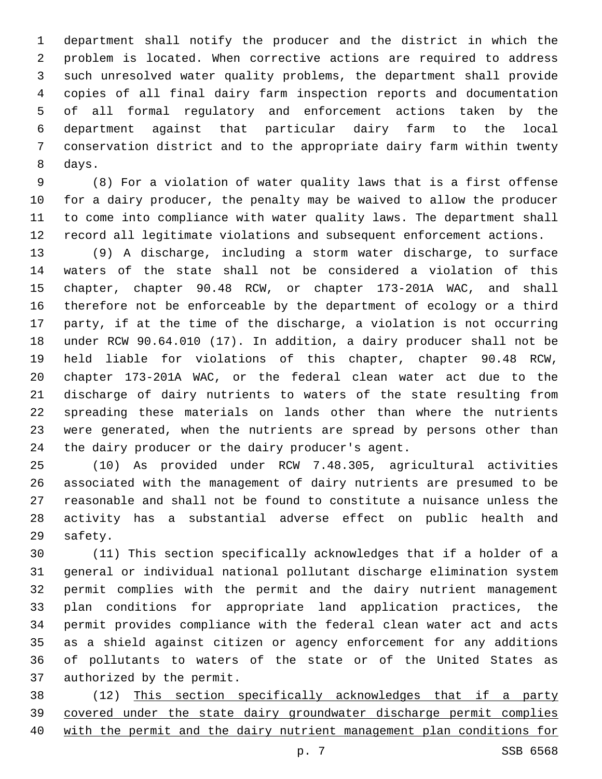department shall notify the producer and the district in which the problem is located. When corrective actions are required to address such unresolved water quality problems, the department shall provide copies of all final dairy farm inspection reports and documentation of all formal regulatory and enforcement actions taken by the department against that particular dairy farm to the local conservation district and to the appropriate dairy farm within twenty 8 days.

 (8) For a violation of water quality laws that is a first offense for a dairy producer, the penalty may be waived to allow the producer to come into compliance with water quality laws. The department shall record all legitimate violations and subsequent enforcement actions.

 (9) A discharge, including a storm water discharge, to surface waters of the state shall not be considered a violation of this chapter, chapter 90.48 RCW, or chapter 173-201A WAC, and shall therefore not be enforceable by the department of ecology or a third party, if at the time of the discharge, a violation is not occurring under RCW 90.64.010 (17). In addition, a dairy producer shall not be held liable for violations of this chapter, chapter 90.48 RCW, chapter 173-201A WAC, or the federal clean water act due to the discharge of dairy nutrients to waters of the state resulting from spreading these materials on lands other than where the nutrients were generated, when the nutrients are spread by persons other than 24 the dairy producer or the dairy producer's agent.

 (10) As provided under RCW 7.48.305, agricultural activities associated with the management of dairy nutrients are presumed to be reasonable and shall not be found to constitute a nuisance unless the activity has a substantial adverse effect on public health and 29 safety.

 (11) This section specifically acknowledges that if a holder of a general or individual national pollutant discharge elimination system permit complies with the permit and the dairy nutrient management plan conditions for appropriate land application practices, the permit provides compliance with the federal clean water act and acts as a shield against citizen or agency enforcement for any additions of pollutants to waters of the state or of the United States as 37 authorized by the permit.

 (12) This section specifically acknowledges that if a party covered under the state dairy groundwater discharge permit complies with the permit and the dairy nutrient management plan conditions for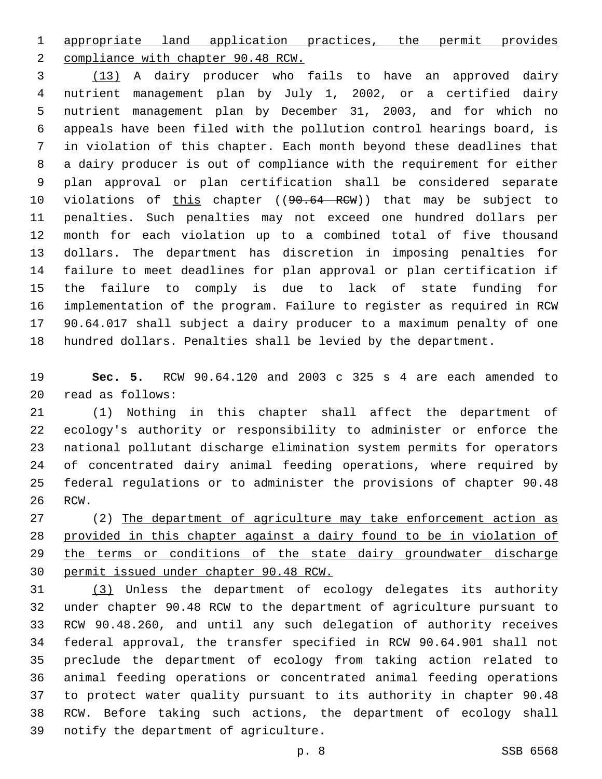appropriate land application practices, the permit provides

2 compliance with chapter 90.48 RCW.

 (13) A dairy producer who fails to have an approved dairy nutrient management plan by July 1, 2002, or a certified dairy nutrient management plan by December 31, 2003, and for which no appeals have been filed with the pollution control hearings board, is in violation of this chapter. Each month beyond these deadlines that a dairy producer is out of compliance with the requirement for either plan approval or plan certification shall be considered separate 10 violations of this chapter ((90.64 RCW)) that may be subject to penalties. Such penalties may not exceed one hundred dollars per month for each violation up to a combined total of five thousand dollars. The department has discretion in imposing penalties for failure to meet deadlines for plan approval or plan certification if the failure to comply is due to lack of state funding for implementation of the program. Failure to register as required in RCW 90.64.017 shall subject a dairy producer to a maximum penalty of one hundred dollars. Penalties shall be levied by the department.

 **Sec. 5.** RCW 90.64.120 and 2003 c 325 s 4 are each amended to read as follows:20

 (1) Nothing in this chapter shall affect the department of ecology's authority or responsibility to administer or enforce the national pollutant discharge elimination system permits for operators of concentrated dairy animal feeding operations, where required by federal regulations or to administer the provisions of chapter 90.48 26 RCW.

 (2) The department of agriculture may take enforcement action as provided in this chapter against a dairy found to be in violation of 29 the terms or conditions of the state dairy groundwater discharge permit issued under chapter 90.48 RCW.

 (3) Unless the department of ecology delegates its authority under chapter 90.48 RCW to the department of agriculture pursuant to RCW 90.48.260, and until any such delegation of authority receives federal approval, the transfer specified in RCW 90.64.901 shall not preclude the department of ecology from taking action related to animal feeding operations or concentrated animal feeding operations to protect water quality pursuant to its authority in chapter 90.48 RCW. Before taking such actions, the department of ecology shall 39 notify the department of agriculture.

p. 8 SSB 6568